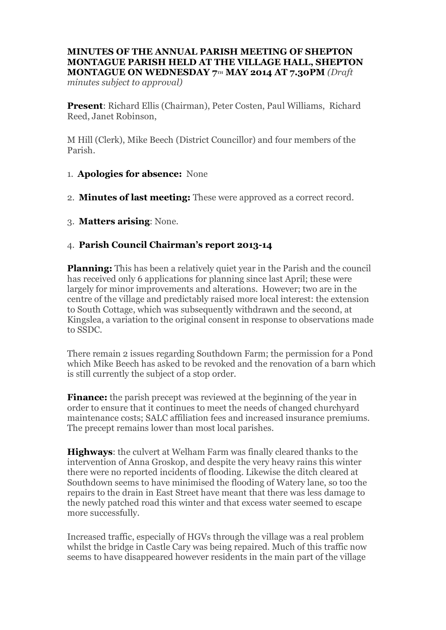## **MINUTES OF THE ANNUAL PARISH MEETING OF SHEPTON MONTAGUE PARISH HELD AT THE VILLAGE HALL, SHEPTON MONTAGUE ON WEDNESDAY 7TH MAY 2014 AT 7.30PM** *(Draft*

*minutes subject to approval)*

**Present**: Richard Ellis (Chairman), Peter Costen, Paul Williams, Richard Reed, Janet Robinson,

M Hill (Clerk), Mike Beech (District Councillor) and four members of the Parish.

- 1. **Apologies for absence:** None
- 2. **Minutes of last meeting:** These were approved as a correct record.
- 3. **Matters arising**: None.

## 4. **Parish Council Chairman's report 2013-14**

**Planning:** This has been a relatively quiet year in the Parish and the council has received only 6 applications for planning since last April; these were largely for minor improvements and alterations. However; two are in the centre of the village and predictably raised more local interest: the extension to South Cottage, which was subsequently withdrawn and the second, at Kingslea, a variation to the original consent in response to observations made to SSDC.

There remain 2 issues regarding Southdown Farm; the permission for a Pond which Mike Beech has asked to be revoked and the renovation of a barn which is still currently the subject of a stop order.

**Finance:** the parish precept was reviewed at the beginning of the year in order to ensure that it continues to meet the needs of changed churchyard maintenance costs; SALC affiliation fees and increased insurance premiums. The precept remains lower than most local parishes.

**Highways**: the culvert at Welham Farm was finally cleared thanks to the intervention of Anna Groskop, and despite the very heavy rains this winter there were no reported incidents of flooding. Likewise the ditch cleared at Southdown seems to have minimised the flooding of Watery lane, so too the repairs to the drain in East Street have meant that there was less damage to the newly patched road this winter and that excess water seemed to escape more successfully.

Increased traffic, especially of HGVs through the village was a real problem whilst the bridge in Castle Cary was being repaired. Much of this traffic now seems to have disappeared however residents in the main part of the village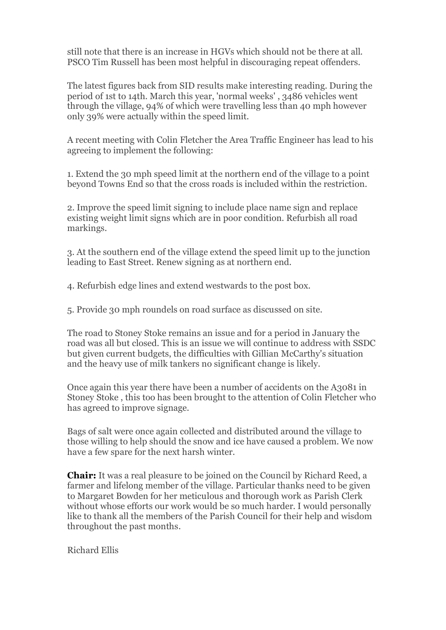still note that there is an increase in HGVs which should not be there at all. PSCO Tim Russell has been most helpful in discouraging repeat offenders.

The latest figures back from SID results make interesting reading. During the period of 1st to 14th. March this year, 'normal weeks' , 3486 vehicles went through the village, 94% of which were travelling less than 40 mph however only 39% were actually within the speed limit.

A recent meeting with Colin Fletcher the Area Traffic Engineer has lead to his agreeing to implement the following:

1. Extend the 30 mph speed limit at the northern end of the village to a point beyond Towns End so that the cross roads is included within the restriction.

2. Improve the speed limit signing to include place name sign and replace existing weight limit signs which are in poor condition. Refurbish all road markings.

3. At the southern end of the village extend the speed limit up to the junction leading to East Street. Renew signing as at northern end.

4. Refurbish edge lines and extend westwards to the post box.

5. Provide 30 mph roundels on road surface as discussed on site.

The road to Stoney Stoke remains an issue and for a period in January the road was all but closed. This is an issue we will continue to address with SSDC but given current budgets, the difficulties with Gillian McCarthy's situation and the heavy use of milk tankers no significant change is likely.

Once again this year there have been a number of accidents on the A3081 in Stoney Stoke , this too has been brought to the attention of Colin Fletcher who has agreed to improve signage.

Bags of salt were once again collected and distributed around the village to those willing to help should the snow and ice have caused a problem. We now have a few spare for the next harsh winter.

**Chair:** It was a real pleasure to be joined on the Council by Richard Reed, a farmer and lifelong member of the village. Particular thanks need to be given to Margaret Bowden for her meticulous and thorough work as Parish Clerk without whose efforts our work would be so much harder. I would personally like to thank all the members of the Parish Council for their help and wisdom throughout the past months.

Richard Ellis